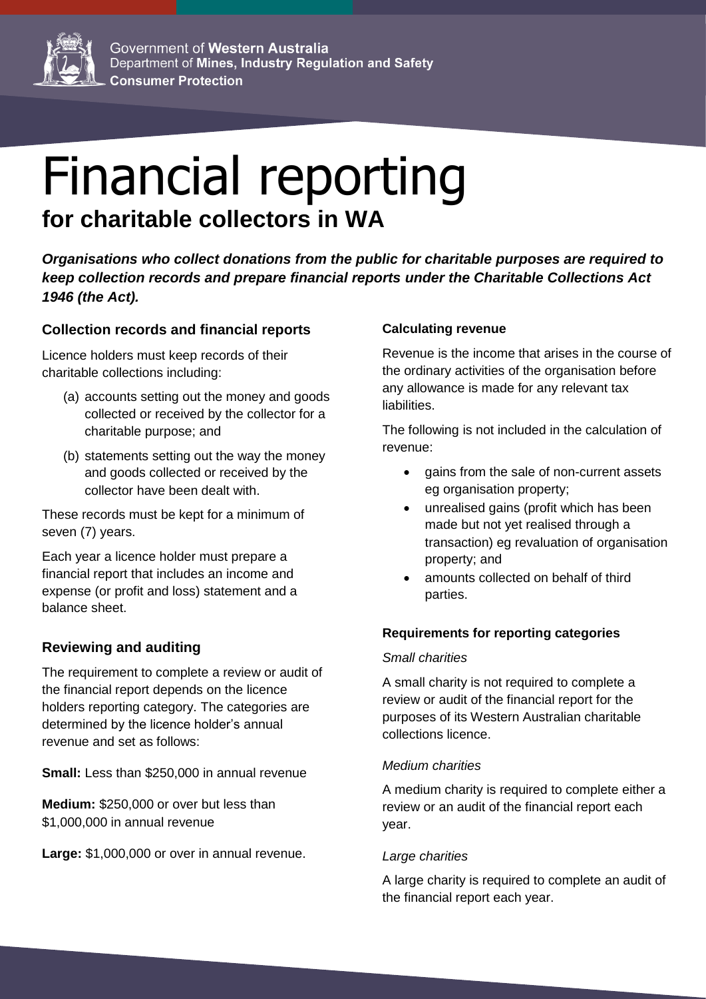

# Financial reporting **for charitable collectors in WA**

*Organisations who collect donations from the public for charitable purposes are required to keep collection records and prepare financial reports under the Charitable Collections Act 1946 (the Act).*

## **Collection records and financial reports**

Licence holders must keep records of their charitable collections including:

- (a) accounts setting out the money and goods collected or received by the collector for a charitable purpose; and
- (b) statements setting out the way the money and goods collected or received by the collector have been dealt with.

These records must be kept for a minimum of seven (7) years.

Each year a licence holder must prepare a financial report that includes an income and expense (or profit and loss) statement and a balance sheet.

# **Reviewing and auditing**

The requirement to complete a review or audit of the financial report depends on the licence holders reporting category. The categories are determined by the licence holder's annual revenue and set as follows:

**Small:** Less than \$250,000 in annual revenue

**Medium:** \$250,000 or over but less than \$1,000,000 in annual revenue

**Large:** \$1,000,000 or over in annual revenue.

## **Calculating revenue**

Revenue is the income that arises in the course of the ordinary activities of the organisation before any allowance is made for any relevant tax liabilities.

The following is not included in the calculation of revenue:

- gains from the sale of non-current assets eg organisation property;
- unrealised gains (profit which has been made but not yet realised through a transaction) eg revaluation of organisation property; and
- amounts collected on behalf of third parties.

#### **Requirements for reporting categories**

#### *Small charities*

A small charity is not required to complete a review or audit of the financial report for the purposes of its Western Australian charitable collections licence.

#### *Medium charities*

A medium charity is required to complete either a review or an audit of the financial report each year.

#### *Large charities*

A large charity is required to complete an audit of the financial report each year.